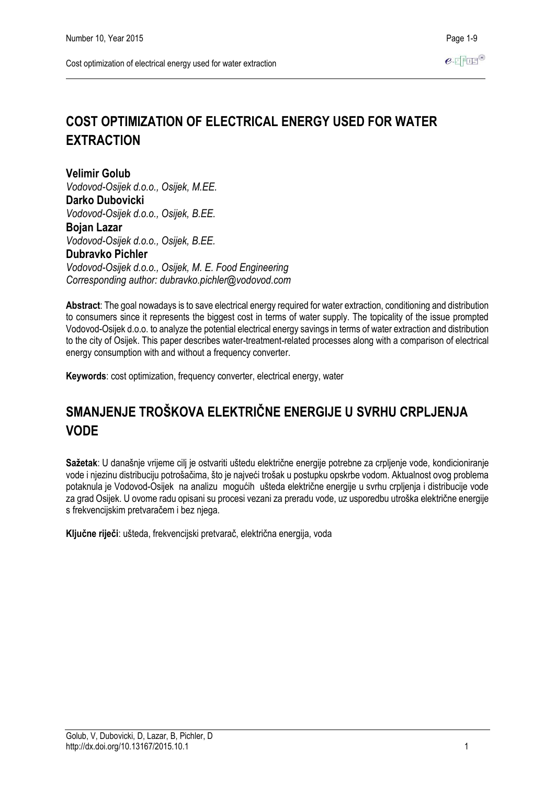# **COST OPTIMIZATION OF ELECTRICAL ENERGY USED FOR WATER EXTRACTION**

**Velimir Golub** *Vodovod-Osijek d.o.o., Osijek, M.EE.* **Darko Dubovicki** *Vodovod-Osijek d.o.o., Osijek, B.EE.* **Bojan Lazar** *Vodovod-Osijek d.o.o., Osijek, B.EE.* **Dubravko Pichler** *Vodovod-Osijek d.o.o., Osijek, M. E. Food Engineering Corresponding author: dubravko.pichler@vodovod.com*

**Abstract**: The goal nowadays is to save electrical energy required for water extraction, conditioning and distribution to consumers since it represents the biggest cost in terms of water supply. The topicality of the issue prompted Vodovod-Osijek d.o.o. to analyze the potential electrical energy savings in terms of water extraction and distribution to the city of Osijek. This paper describes water-treatment-related processes along with a comparison of electrical energy consumption with and without a frequency converter.

**Keywords**: cost optimization, frequency converter, electrical energy, water

# **SMANJENJE TROŠKOVA ELEKTRIČNE ENERGIJE U SVRHU CRPLJENJA VODE**

**Sažetak**: U današnje vrijeme cilj je ostvariti uštedu električne energije potrebne za crpljenje vode, kondicioniranje vode i njezinu distribuciju potrošačima, što je najveći trošak u postupku opskrbe vodom. Aktualnost ovog problema potaknula je Vodovod-Osijek na analizu mogućih ušteda električne energije u svrhu crpljenja i distribucije vode za grad Osijek. U ovome radu opisani su procesi vezani za preradu vode, uz usporedbu utroška električne energije s frekvencijskim pretvaračem i bez njega.

**Ključne riječi**: ušteda, frekvencijski pretvarač, električna energija, voda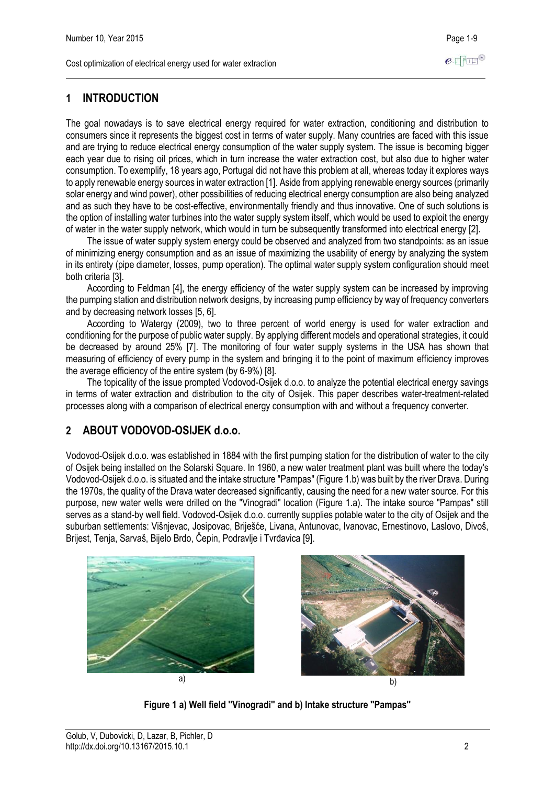## **1 INTRODUCTION**

The goal nowadays is to save electrical energy required for water extraction, conditioning and distribution to consumers since it represents the biggest cost in terms of water supply. Many countries are faced with this issue and are trying to reduce electrical energy consumption of the water supply system. The issue is becoming bigger each year due to rising oil prices, which in turn increase the water extraction cost, but also due to higher water consumption. To exemplify, 18 years ago, Portugal did not have this problem at all, whereas today it explores ways to apply renewable energy sources in water extraction [1]. Aside from applying renewable energy sources (primarily solar energy and wind power), other possibilities of reducing electrical energy consumption are also being analyzed and as such they have to be cost-effective, environmentally friendly and thus innovative. One of such solutions is the option of installing water turbines into the water supply system itself, which would be used to exploit the energy of water in the water supply network, which would in turn be subsequently transformed into electrical energy [2].

The issue of water supply system energy could be observed and analyzed from two standpoints: as an issue of minimizing energy consumption and as an issue of maximizing the usability of energy by analyzing the system in its entirety (pipe diameter, losses, pump operation). The optimal water supply system configuration should meet both criteria [3].

According to Feldman [4], the energy efficiency of the water supply system can be increased by improving the pumping station and distribution network designs, by increasing pump efficiency by way of frequency converters and by decreasing network losses [5, 6].

According to Watergy (2009), two to three percent of world energy is used for water extraction and conditioning for the purpose of public water supply. By applying different models and operational strategies, it could be decreased by around 25% [7]. The monitoring of four water supply systems in the USA has shown that measuring of efficiency of every pump in the system and bringing it to the point of maximum efficiency improves the average efficiency of the entire system (by 6-9%) [8].

The topicality of the issue prompted Vodovod-Osijek d.o.o. to analyze the potential electrical energy savings in terms of water extraction and distribution to the city of Osijek. This paper describes water-treatment-related processes along with a comparison of electrical energy consumption with and without a frequency converter.

## **2 ABOUT VODOVOD-OSIJEK d.o.o.**

Vodovod-Osijek d.o.o. was established in 1884 with the first pumping station for the distribution of water to the city of Osijek being installed on the Solarski Square. In 1960, a new water treatment plant was built where the today's Vodovod-Osijek d.o.o. is situated and the intake structure "Pampas" (Figure 1.b) was built by the river Drava. During the 1970s, the quality of the Drava water decreased significantly, causing the need for a new water source. For this purpose, new water wells were drilled on the "Vinogradi" location (Figure 1.a). The intake source "Pampas" still serves as a stand-by well field. Vodovod-Osijek d.o.o. currently supplies potable water to the city of Osijek and the suburban settlements: Višnjevac, Josipovac, Briješće, Livana, Antunovac, Ivanovac, Ernestinovo, Laslovo, Divoš, Brijest, Tenja, Sarvaš, Bijelo Brdo, Čepin, Podravlje i Tvrđavica [9].





**Figure 1 a) Well field ''Vinogradi'' and b) Intake structure ''Pampas''**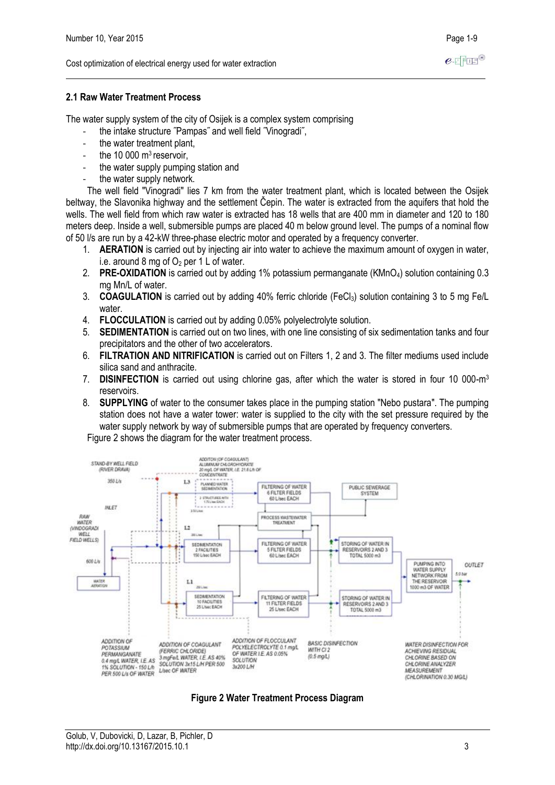## **2.1 Raw Water Treatment Process**

The water supply system of the city of Osijek is a complex system comprising

- the intake structure ˝Pampas˝ and well field ˝Vinogradi˝,
- the water treatment plant,
- the 10 000 m<sup>3</sup> reservoir,
- the water supply pumping station and
- the water supply network.

The well field "Vinogradi" lies 7 km from the water treatment plant, which is located between the Osijek beltway, the Slavonika highway and the settlement Čepin. The water is extracted from the aquifers that hold the wells. The well field from which raw water is extracted has 18 wells that are 400 mm in diameter and 120 to 180 meters deep. Inside a well, submersible pumps are placed 40 m below ground level. The pumps of a nominal flow of 50 l/s are run by a 42-kW three-phase electric motor and operated by a frequency converter.

- 1. **AERATION** is carried out by injecting air into water to achieve the maximum amount of oxygen in water, i.e. around 8 mg of  $O<sub>2</sub>$  per 1 L of water.
- 2. **PRE-OXIDATION** is carried out by adding 1% potassium permanganate (KMnO4) solution containing 0.3 mg Mn/L of water.
- 3. **COAGULATION** is carried out by adding 40% ferric chloride (FeCl3) solution containing 3 to 5 mg Fe/L water.
- 4. **FLOCCULATION** is carried out by adding 0.05% polyelectrolyte solution.
- 5. **SEDIMENTATION** is carried out on two lines, with one line consisting of six sedimentation tanks and four precipitators and the other of two accelerators.
- 6. **FILTRATION AND NITRIFICATION** is carried out on Filters 1, 2 and 3. The filter mediums used include silica sand and anthracite.
- 7. **DISINFECTION** is carried out using chlorine gas, after which the water is stored in four 10 000-m<sup>3</sup> reservoirs.
- 8. **SUPPLYING** of water to the consumer takes place in the pumping station "Nebo pustara". The pumping station does not have a water tower: water is supplied to the city with the set pressure required by the water supply network by way of submersible pumps that are operated by frequency converters.

Figure 2 shows the diagram for the water treatment process.



**Figure 2 Water Treatment Process Diagram**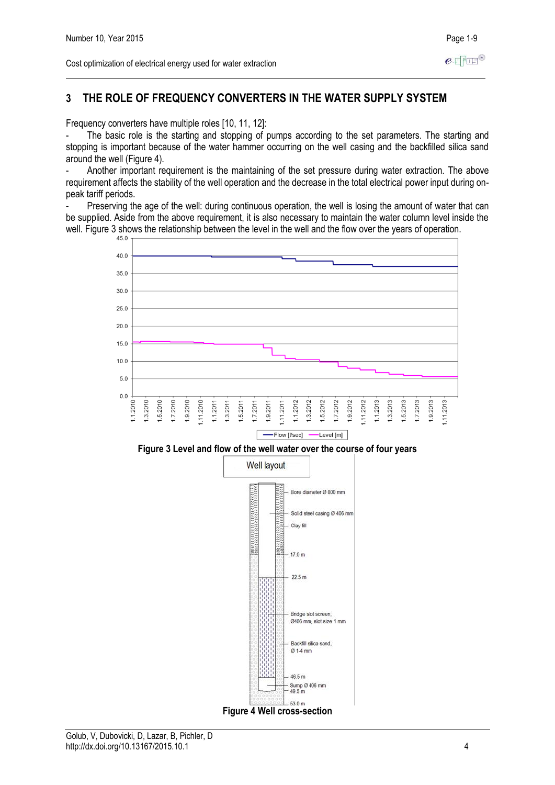## **3 THE ROLE OF FREQUENCY CONVERTERS IN THE WATER SUPPLY SYSTEM**

Frequency converters have multiple roles [10, 11, 12]:

The basic role is the starting and stopping of pumps according to the set parameters. The starting and stopping is important because of the water hammer occurring on the well casing and the backfilled silica sand around the well (Figure 4).

Another important requirement is the maintaining of the set pressure during water extraction. The above requirement affects the stability of the well operation and the decrease in the total electrical power input during onpeak tariff periods.

- Preserving the age of the well: during continuous operation, the well is losing the amount of water that can be supplied. Aside from the above requirement, it is also necessary to maintain the water column level inside the well. Figure 3 shows the relationship between the level in the well and the flow over the years of operation.

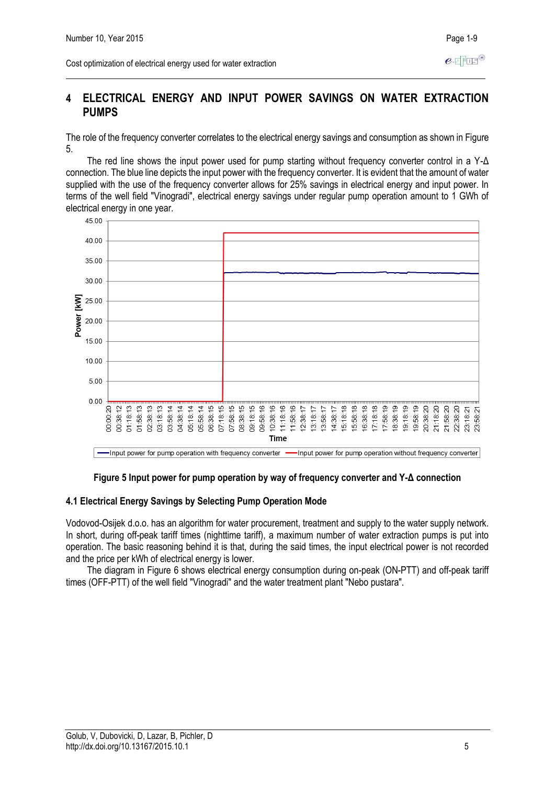## **4 ELECTRICAL ENERGY AND INPUT POWER SAVINGS ON WATER EXTRACTION PUMPS**

The role of the frequency converter correlates to the electrical energy savings and consumption as shown in Figure 5.

The red line shows the input power used for pump starting without frequency converter control in a Y-Δ connection. The blue line depicts the input power with the frequency converter. It is evident that the amount of water supplied with the use of the frequency converter allows for 25% savings in electrical energy and input power. In terms of the well field "Vinogradi", electrical energy savings under regular pump operation amount to 1 GWh of electrical energy in one year.



-Input power for pump operation with frequency converter -Input power for pump operation without frequency converter

#### **Figure 5 Input power for pump operation by way of frequency converter and Y-Δ connection**

#### **4.1 Electrical Energy Savings by Selecting Pump Operation Mode**

Vodovod-Osijek d.o.o. has an algorithm for water procurement, treatment and supply to the water supply network. In short, during off-peak tariff times (nighttime tariff), a maximum number of water extraction pumps is put into operation. The basic reasoning behind it is that, during the said times, the input electrical power is not recorded and the price per kWh of electrical energy is lower.

The diagram in Figure 6 shows electrical energy consumption during on-peak (ON-PTT) and off-peak tariff times (OFF-PTT) of the well field "Vinogradi" and the water treatment plant "Nebo pustara".

 $e$ -FFFF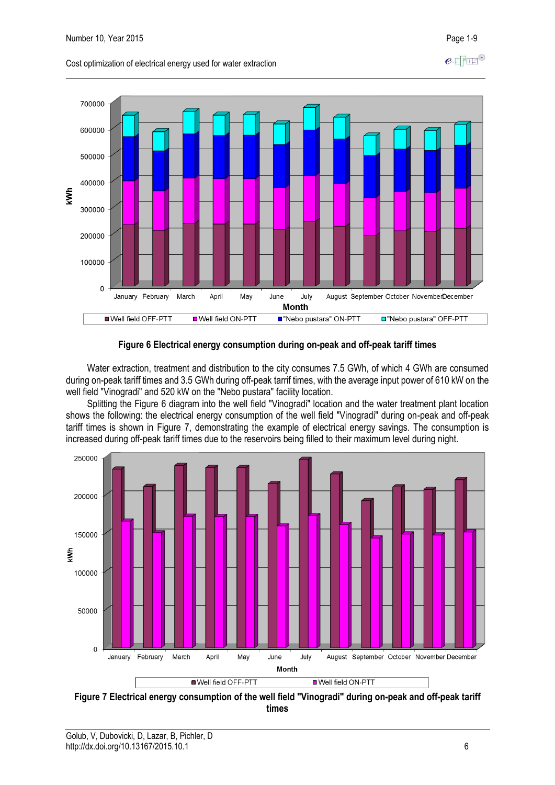

#### Cost optimization of electrical energy used for water extraction



Water extraction, treatment and distribution to the city consumes 7.5 GWh, of which 4 GWh are consumed during on-peak tariff times and 3.5 GWh during off-peak tarrif times, with the average input power of 610 kW on the well field "Vinogradi" and 520 kW on the "Nebo pustara" facility location.

Splitting the Figure 6 diagram into the well field "Vinogradi" location and the water treatment plant location shows the following: the electrical energy consumption of the well field "Vinogradi" during on-peak and off-peak tariff times is shown in Figure 7, demonstrating the example of electrical energy savings. The consumption is increased during off-peak tariff times due to the reservoirs being filled to their maximum level during night.



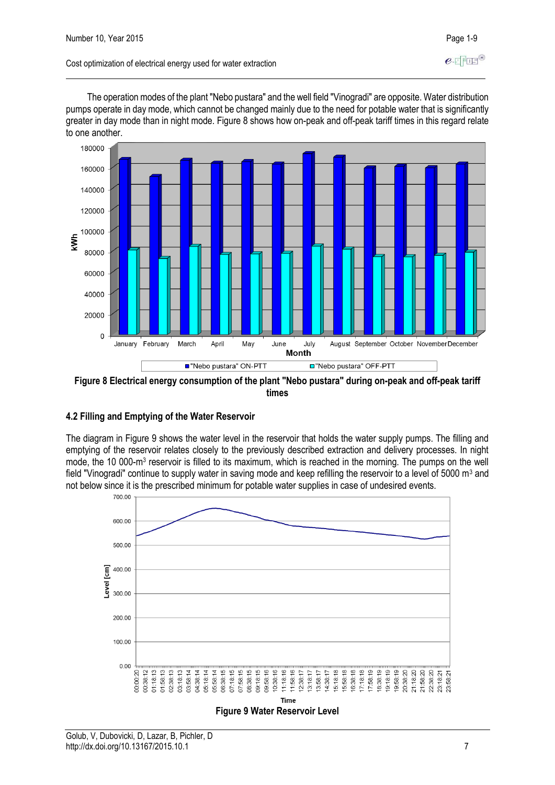The operation modes of the plant "Nebo pustara" and the well field "Vinogradi" are opposite. Water distribution pumps operate in day mode, which cannot be changed mainly due to the need for potable water that is significantly greater in day mode than in night mode. Figure 8 shows how on-peak and off-peak tariff times in this regard relate to one another.



**Figure 8 Electrical energy consumption of the plant "Nebo pustara" during on-peak and off-peak tariff times**

#### **4.2 Filling and Emptying of the Water Reservoir**

The diagram in Figure 9 shows the water level in the reservoir that holds the water supply pumps. The filling and emptying of the reservoir relates closely to the previously described extraction and delivery processes. In night mode, the 10 000-m<sup>3</sup> reservoir is filled to its maximum, which is reached in the morning. The pumps on the well field "Vinogradi" continue to supply water in saving mode and keep refilling the reservoir to a level of 5000 m<sup>3</sup> and not below since it is the prescribed minimum for potable water supplies in case of undesired events.



#### **Figure 9 Water Reservoir Level**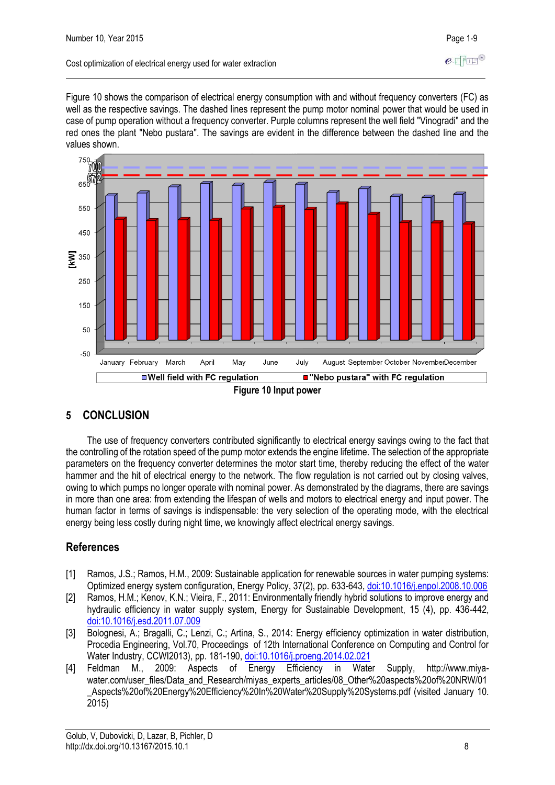#### Cost optimization of electrical energy used for water extraction

Figure 10 shows the comparison of electrical energy consumption with and without frequency converters (FC) as well as the respective savings. The dashed lines represent the pump motor nominal power that would be used in case of pump operation without a frequency converter. Purple columns represent the well field "Vinogradi" and the red ones the plant "Nebo pustara". The savings are evident in the difference between the dashed line and the



## **5 CONCLUSION**

The use of frequency converters contributed significantly to electrical energy savings owing to the fact that the controlling of the rotation speed of the pump motor extends the engine lifetime. The selection of the appropriate parameters on the frequency converter determines the motor start time, thereby reducing the effect of the water hammer and the hit of electrical energy to the network. The flow regulation is not carried out by closing valves, owing to which pumps no longer operate with nominal power. As demonstrated by the diagrams, there are savings in more than one area: from extending the lifespan of wells and motors to electrical energy and input power. The human factor in terms of savings is indispensable: the very selection of the operating mode, with the electrical energy being less costly during night time, we knowingly affect electrical energy savings.

## **References**

- [1] Ramos, J.S.; Ramos, H.M., 2009: Sustainable application for renewable sources in water pumping systems: Optimized energy system configuration, Energy Policy, 37(2), pp. 633-643, [doi:10.1016/j.enpol.2008.10.006](http://dx.doi.org/10.1016/j.enpol.2008.10.006)
- [2] Ramos, H.M.; Kenov, K.N.; Vieira, F., 2011: Environmentally friendly hybrid solutions to improve energy and hydraulic efficiency in water supply system, Energy for Sustainable Development, 15 (4), pp. 436-442, [doi:10.1016/j.esd.2011.07.009](http://dx.doi.org/10.1016/j.esd.2011.07.009)
- [3] Bolognesi, A.; Bragalli, C.; Lenzi, C.; Artina, S., 2014: Energy efficiency optimization in water distribution, Procedia Engineering, Vol.70, Proceedings of 12th International Conference on Computing and Control for Water Industry, CCWI2013), pp. 181-190[, doi:10.1016/j.proeng.2014.02.021](http://dx.doi.org/10.1016/j.proeng.2014.02.021)
- [4] Feldman M., 2009: Aspects of Energy Efficiency in Water Supply, http://www.miyawater.com/user\_files/Data\_and\_Research/miyas\_experts\_articles/08\_Other%20aspects%20of%20NRW/01 \_Aspects%20of%20Energy%20Efficiency%20In%20Water%20Supply%20Systems.pdf (visited January 10. 2015)